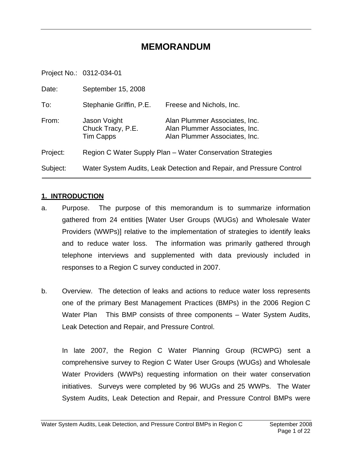# **MEMORANDUM**

Project No.: 0312-034-01

| Date:    | September 15, 2008                                                   |                                                                                                 |  |
|----------|----------------------------------------------------------------------|-------------------------------------------------------------------------------------------------|--|
| To:      | Stephanie Griffin, P.E.                                              | Freese and Nichols, Inc.                                                                        |  |
| From:    | Jason Voight<br>Chuck Tracy, P.E.<br>Tim Capps                       | Alan Plummer Associates, Inc.<br>Alan Plummer Associates, Inc.<br>Alan Plummer Associates, Inc. |  |
| Project: | Region C Water Supply Plan - Water Conservation Strategies           |                                                                                                 |  |
| Subject: | Water System Audits, Leak Detection and Repair, and Pressure Control |                                                                                                 |  |

#### **1. INTRODUCTION**

- a. Purpose. The purpose of this memorandum is to summarize information gathered from 24 entities [Water User Groups (WUGs) and Wholesale Water Providers (WWPs)] relative to the implementation of strategies to identify leaks and to reduce water loss. The information was primarily gathered through telephone interviews and supplemented with data previously included in responses to a Region C survey conducted in 2007.
- b. Overview. The detection of leaks and actions to reduce water loss represents one of the primary Best Management Practices (BMPs) in the 2006 Region C Water Plan This BMP consists of three components – Water System Audits, Leak Detection and Repair, and Pressure Control.

In late 2007, the Region C Water Planning Group (RCWPG) sent a comprehensive survey to Region C Water User Groups (WUGs) and Wholesale Water Providers (WWPs) requesting information on their water conservation initiatives. Surveys were completed by 96 WUGs and 25 WWPs. The Water System Audits, Leak Detection and Repair, and Pressure Control BMPs were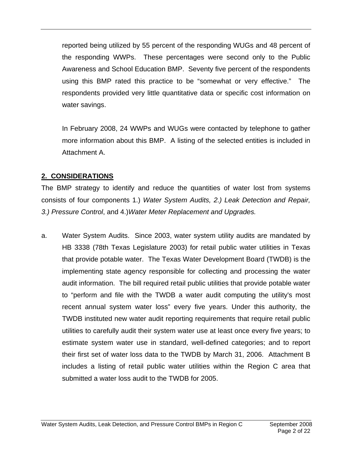reported being utilized by 55 percent of the responding WUGs and 48 percent of the responding WWPs. These percentages were second only to the Public Awareness and School Education BMP. Seventy five percent of the respondents using this BMP rated this practice to be "somewhat or very effective." The respondents provided very little quantitative data or specific cost information on water savings.

In February 2008, 24 WWPs and WUGs were contacted by telephone to gather more information about this BMP. A listing of the selected entities is included in Attachment A.

# **2. CONSIDERATIONS**

The BMP strategy to identify and reduce the quantities of water lost from systems consists of four components 1.) *Water System Audits, 2.) Leak Detection and Repair, 3.) Pressure Control*, and 4.)*Water Meter Replacement and Upgrades.* 

a. Water System Audits. Since 2003, water system utility audits are mandated by HB 3338 (78th Texas Legislature 2003) for retail public water utilities in Texas that provide potable water. The Texas Water Development Board (TWDB) is the implementing state agency responsible for collecting and processing the water audit information. The bill required retail public utilities that provide potable water to "perform and file with the TWDB a water audit computing the utility's most recent annual system water loss" every five years. Under this authority, the TWDB instituted new water audit reporting requirements that require retail public utilities to carefully audit their system water use at least once every five years; to estimate system water use in standard, well-defined categories; and to report their first set of water loss data to the TWDB by March 31, 2006. Attachment B includes a listing of retail public water utilities within the Region C area that submitted a water loss audit to the TWDB for 2005.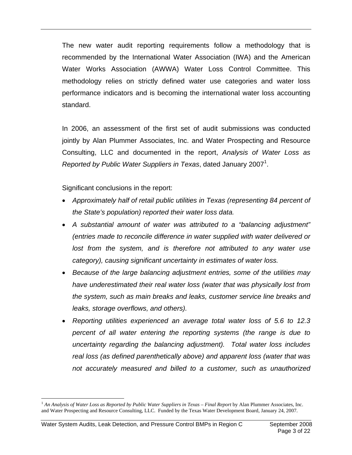The new water audit reporting requirements follow a methodology that is recommended by the International Water Association (IWA) and the American Water Works Association (AWWA) Water Loss Control Committee. This methodology relies on strictly defined water use categories and water loss performance indicators and is becoming the international water loss accounting standard.

In 2006, an assessment of the first set of audit submissions was conducted jointly by Alan Plummer Associates, Inc. and Water Prospecting and Resource Consulting, LLC and documented in the report, *Analysis of Water Loss as*  Reported by Public Water Suppliers in Texas, dated January 2007<sup>1</sup>.

Significant conclusions in the report:

- *Approximately half of retail public utilities in Texas (representing 84 percent of the State's population) reported their water loss data.*
- *A substantial amount of water was attributed to a "balancing adjustment" (entries made to reconcile difference in water supplied with water delivered or*  lost from the system, and is therefore not attributed to any water use *category), causing significant uncertainty in estimates of water loss.*
- *Because of the large balancing adjustment entries, some of the utilities may have underestimated their real water loss (water that was physically lost from the system, such as main breaks and leaks, customer service line breaks and leaks, storage overflows, and others).*
- *Reporting utilities experienced an average total water loss of 5.6 to 12.3 percent of all water entering the reporting systems (the range is due to uncertainty regarding the balancing adjustment). Total water loss includes real loss (as defined parenthetically above) and apparent loss (water that was not accurately measured and billed to a customer, such as unauthorized*

 $\overline{a}$ 

<sup>1</sup> *An Analysis of Water Loss as Reported by Public Water Suppliers in Texas – Final Report* by Alan Plummer Associates, Inc. and Water Prospecting and Resource Consulting, LLC. Funded by the Texas Water Development Board, January 24, 2007.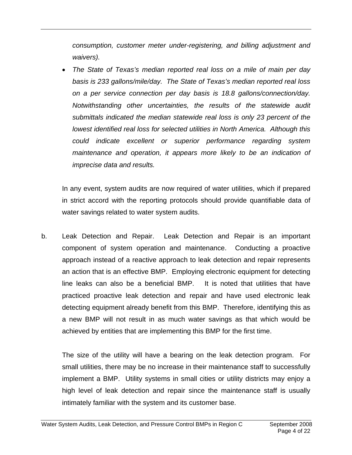*consumption, customer meter under-registering, and billing adjustment and waivers).* 

• *The State of Texas's median reported real loss on a mile of main per day basis is 233 gallons/mile/day. The State of Texas's median reported real loss on a per service connection per day basis is 18.8 gallons/connection/day. Notwithstanding other uncertainties, the results of the statewide audit submittals indicated the median statewide real loss is only 23 percent of the lowest identified real loss for selected utilities in North America. Although this could indicate excellent or superior performance regarding system maintenance and operation, it appears more likely to be an indication of imprecise data and results.* 

In any event, system audits are now required of water utilities, which if prepared in strict accord with the reporting protocols should provide quantifiable data of water savings related to water system audits.

b. Leak Detection and Repair. Leak Detection and Repair is an important component of system operation and maintenance. Conducting a proactive approach instead of a reactive approach to leak detection and repair represents an action that is an effective BMP. Employing electronic equipment for detecting line leaks can also be a beneficial BMP. It is noted that utilities that have practiced proactive leak detection and repair and have used electronic leak detecting equipment already benefit from this BMP. Therefore, identifying this as a new BMP will not result in as much water savings as that which would be achieved by entities that are implementing this BMP for the first time.

The size of the utility will have a bearing on the leak detection program. For small utilities, there may be no increase in their maintenance staff to successfully implement a BMP. Utility systems in small cities or utility districts may enjoy a high level of leak detection and repair since the maintenance staff is usually intimately familiar with the system and its customer base.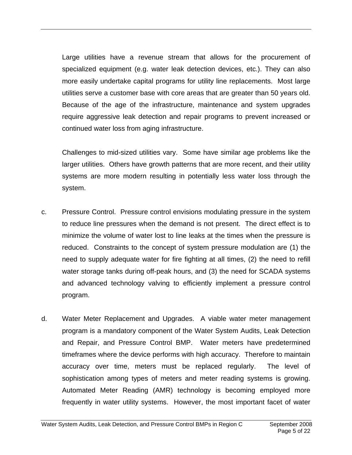Large utilities have a revenue stream that allows for the procurement of specialized equipment (e.g. water leak detection devices, etc.). They can also more easily undertake capital programs for utility line replacements. Most large utilities serve a customer base with core areas that are greater than 50 years old. Because of the age of the infrastructure, maintenance and system upgrades require aggressive leak detection and repair programs to prevent increased or continued water loss from aging infrastructure.

Challenges to mid-sized utilities vary. Some have similar age problems like the larger utilities. Others have growth patterns that are more recent, and their utility systems are more modern resulting in potentially less water loss through the system.

- c. Pressure Control. Pressure control envisions modulating pressure in the system to reduce line pressures when the demand is not present. The direct effect is to minimize the volume of water lost to line leaks at the times when the pressure is reduced. Constraints to the concept of system pressure modulation are (1) the need to supply adequate water for fire fighting at all times, (2) the need to refill water storage tanks during off-peak hours, and (3) the need for SCADA systems and advanced technology valving to efficiently implement a pressure control program.
- d. Water Meter Replacement and Upgrades. A viable water meter management program is a mandatory component of the Water System Audits, Leak Detection and Repair, and Pressure Control BMP. Water meters have predetermined timeframes where the device performs with high accuracy. Therefore to maintain accuracy over time, meters must be replaced regularly. The level of sophistication among types of meters and meter reading systems is growing. Automated Meter Reading (AMR) technology is becoming employed more frequently in water utility systems. However, the most important facet of water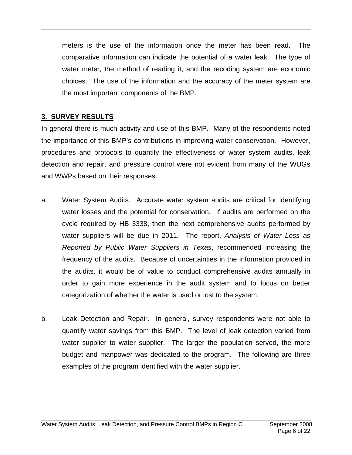meters is the use of the information once the meter has been read. The comparative information can indicate the potential of a water leak. The type of water meter, the method of reading it, and the recoding system are economic choices. The use of the information and the accuracy of the meter system are the most important components of the BMP.

# **3. SURVEY RESULTS**

In general there is much activity and use of this BMP. Many of the respondents noted the importance of this BMP's contributions in improving water conservation. However, procedures and protocols to quantify the effectiveness of water system audits, leak detection and repair, and pressure control were not evident from many of the WUGs and WWPs based on their responses.

- a. Water System Audits. Accurate water system audits are critical for identifying water losses and the potential for conservation. If audits are performed on the cycle required by HB 3338, then the next comprehensive audits performed by water suppliers will be due in 2011. The report, *Analysis of Water Loss as Reported by Public Water Suppliers in Texas*, recommended increasing the frequency of the audits. Because of uncertainties in the information provided in the audits, it would be of value to conduct comprehensive audits annually in order to gain more experience in the audit system and to focus on better categorization of whether the water is used or lost to the system.
- b. Leak Detection and Repair.In general, survey respondents were not able to quantify water savings from this BMP. The level of leak detection varied from water supplier to water supplier. The larger the population served, the more budget and manpower was dedicated to the program. The following are three examples of the program identified with the water supplier.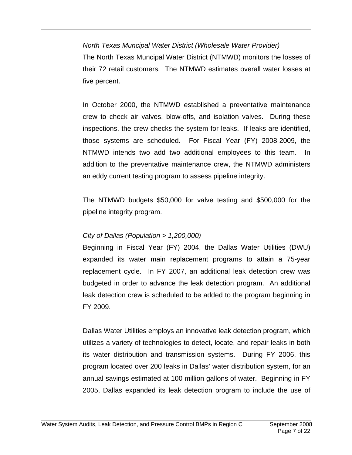### *North Texas Muncipal Water District (Wholesale Water Provider)*

The North Texas Muncipal Water District (NTMWD) monitors the losses of their 72 retail customers. The NTMWD estimates overall water losses at five percent.

In October 2000, the NTMWD established a preventative maintenance crew to check air valves, blow-offs, and isolation valves. During these inspections, the crew checks the system for leaks. If leaks are identified, those systems are scheduled. For Fiscal Year (FY) 2008-2009, the NTMWD intends two add two additional employees to this team. In addition to the preventative maintenance crew, the NTMWD administers an eddy current testing program to assess pipeline integrity.

The NTMWD budgets \$50,000 for valve testing and \$500,000 for the pipeline integrity program.

# *City of Dallas (Population > 1,200,000)*

Beginning in Fiscal Year (FY) 2004, the Dallas Water Utilities (DWU) expanded its water main replacement programs to attain a 75-year replacement cycle. In FY 2007, an additional leak detection crew was budgeted in order to advance the leak detection program. An additional leak detection crew is scheduled to be added to the program beginning in FY 2009.

Dallas Water Utilities employs an innovative leak detection program, which utilizes a variety of technologies to detect, locate, and repair leaks in both its water distribution and transmission systems. During FY 2006, this program located over 200 leaks in Dallas' water distribution system, for an annual savings estimated at 100 million gallons of water. Beginning in FY 2005, Dallas expanded its leak detection program to include the use of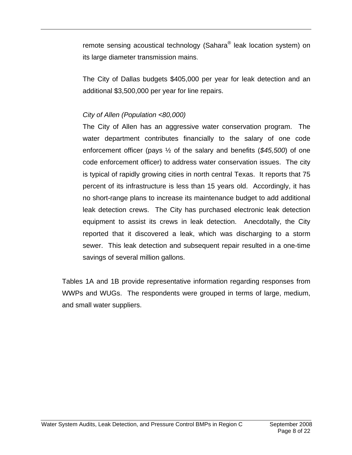remote sensing acoustical technology (Sahara<sup>®</sup> leak location system) on its large diameter transmission mains.

The City of Dallas budgets \$405,000 per year for leak detection and an additional \$3,500,000 per year for line repairs.

# *City of Allen (Population <80,000)*

The City of Allen has an aggressive water conservation program. The water department contributes financially to the salary of one code enforcement officer (pays ½ of the salary and benefits (*\$45,500*) of one code enforcement officer) to address water conservation issues. The city is typical of rapidly growing cities in north central Texas. It reports that 75 percent of its infrastructure is less than 15 years old. Accordingly, it has no short-range plans to increase its maintenance budget to add additional leak detection crews. The City has purchased electronic leak detection equipment to assist its crews in leak detection. Anecdotally, the City reported that it discovered a leak, which was discharging to a storm sewer. This leak detection and subsequent repair resulted in a one-time savings of several million gallons.

Tables 1A and 1B provide representative information regarding responses from WWPs and WUGs. The respondents were grouped in terms of large, medium, and small water suppliers.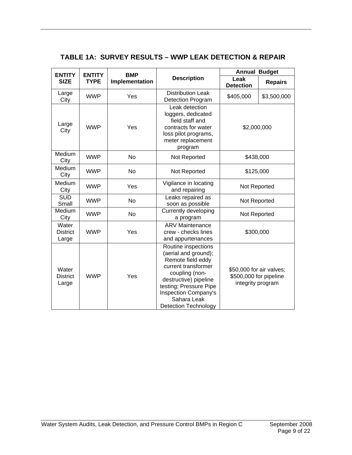#### **TABLE 1A: SURVEY RESULTS – WWP LEAK DETECTION & REPAIR**

| <b>ENTITY</b>                     | <b>ENTITY</b> | <b>BMP</b>     |                                                                                                                                                                                                                                           | <b>Annual Budget</b>                                                    |                |
|-----------------------------------|---------------|----------------|-------------------------------------------------------------------------------------------------------------------------------------------------------------------------------------------------------------------------------------------|-------------------------------------------------------------------------|----------------|
| <b>SIZE</b>                       | <b>TYPE</b>   | Implementation | <b>Description</b>                                                                                                                                                                                                                        | Leak<br><b>Detection</b>                                                | <b>Repairs</b> |
| Large<br>City                     | <b>WWP</b>    | Yes            | <b>Distribution Leak</b><br><b>Detection Program</b>                                                                                                                                                                                      | \$405,000                                                               | \$3,500,000    |
| Large<br>City                     | <b>WWP</b>    | Yes            | Leak detection<br>loggers, dedicated<br>field staff and<br>contracts for water<br>loss pilot programs,<br>meter replacement<br>program                                                                                                    | \$2,000,000                                                             |                |
| Medium<br>City                    | <b>WWP</b>    | <b>No</b>      | Not Reported                                                                                                                                                                                                                              | \$438,000                                                               |                |
| Medium<br>City                    | <b>WWP</b>    | <b>No</b>      | Not Reported                                                                                                                                                                                                                              | \$125,000                                                               |                |
| Medium<br>City                    | <b>WWP</b>    | Yes            | Vigilance in locating<br>and repairing                                                                                                                                                                                                    | Not Reported                                                            |                |
| <b>SUD</b><br>Small               | <b>WWP</b>    | No             | Leaks repaired as<br>soon as possible                                                                                                                                                                                                     | Not Reported                                                            |                |
| Medium<br>City                    | <b>WWP</b>    | No             | Currently developing<br>a program                                                                                                                                                                                                         | Not Reported                                                            |                |
| Water<br><b>District</b><br>Large | <b>WWP</b>    | Yes            | <b>ARV Maintenance</b><br>crew - checks lines<br>and appurtenances                                                                                                                                                                        | \$300,000                                                               |                |
| Water<br><b>District</b><br>Large | <b>WWP</b>    | Yes            | Routine inspections<br>(aerial and ground);<br>Remote field eddy<br>current transformer<br>coupling (non-<br>destructive) pipeline<br>testing; Pressure Pipe<br><b>Inspection Company's</b><br>Sahara Leak<br><b>Detection Technology</b> | \$50,000 for air valves;<br>\$500,000 for pipeline<br>integrity program |                |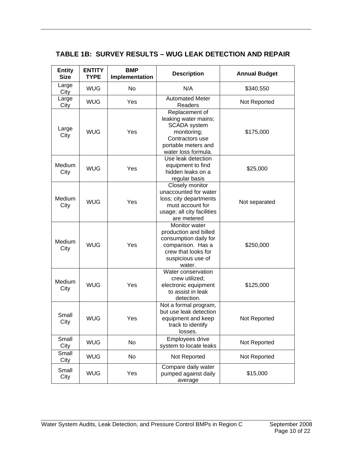### **TABLE 1B: SURVEY RESULTS – WUG LEAK DETECTION AND REPAIR**

| <b>Entity</b><br><b>Size</b> | <b>ENTITY</b><br><b>TYPE</b> | <b>BMP</b><br>Implementation | <b>Description</b>                                                                                                                            | <b>Annual Budget</b> |  |
|------------------------------|------------------------------|------------------------------|-----------------------------------------------------------------------------------------------------------------------------------------------|----------------------|--|
| Large<br>City                | <b>WUG</b>                   | <b>No</b>                    | N/A                                                                                                                                           | \$340,550            |  |
| Large<br>City                | <b>WUG</b>                   | Yes                          | <b>Automated Meter</b><br>Readers                                                                                                             | Not Reported         |  |
| Large<br>City                | <b>WUG</b>                   | Yes                          | Replacement of<br>leaking water mains;<br><b>SCADA</b> system<br>monitoring;<br>Contractors use<br>portable meters and<br>water loss formula. | \$175,000            |  |
| Medium<br>City               | <b>WUG</b>                   | Yes                          | Use leak detection<br>equipment to find<br>hidden leaks on a<br>regular basis                                                                 | \$25,000             |  |
| Medium<br>City               | <b>WUG</b>                   | Yes                          | Closely monitor<br>unaccounted for water<br>loss; city departments<br>must account for<br>usage; all city facilities<br>are metered           | Not separated        |  |
| <b>Medium</b><br>City        | <b>WUG</b>                   | Yes                          | Monitor water<br>production and billed<br>consumption daily for<br>comparison. Has a<br>crew that looks for<br>suspicious use of<br>water.    | \$250,000            |  |
| Medium<br>City               | <b>WUG</b>                   | Yes                          | Water conservation<br>crew utilized;<br>electronic equipment<br>to assist in leak<br>detection.                                               | \$125,000            |  |
| Small<br>City                | <b>WUG</b>                   | Yes                          | Not a formal program,<br>but use leak detection<br>equipment and keep<br>track to identify<br>losses.                                         | Not Reported         |  |
| Small<br>City                | <b>WUG</b>                   | No                           | Employees drive<br>system to locate leaks                                                                                                     | Not Reported         |  |
| Small<br>City                | <b>WUG</b>                   | No                           | Not Reported                                                                                                                                  | Not Reported         |  |
| Small<br>City                | <b>WUG</b>                   | Yes                          | Compare daily water<br>pumped against daily<br>average                                                                                        | \$15,000             |  |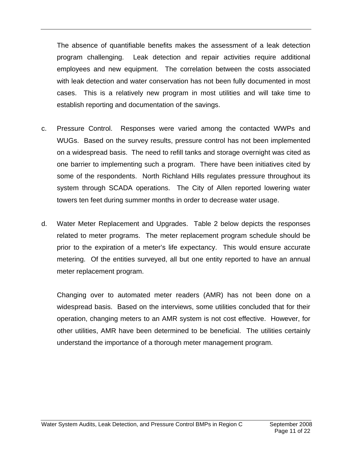The absence of quantifiable benefits makes the assessment of a leak detection program challenging. Leak detection and repair activities require additional employees and new equipment. The correlation between the costs associated with leak detection and water conservation has not been fully documented in most cases. This is a relatively new program in most utilities and will take time to establish reporting and documentation of the savings.

- c. Pressure Control. Responses were varied among the contacted WWPs and WUGs. Based on the survey results, pressure control has not been implemented on a widespread basis. The need to refill tanks and storage overnight was cited as one barrier to implementing such a program. There have been initiatives cited by some of the respondents. North Richland Hills regulates pressure throughout its system through SCADA operations. The City of Allen reported lowering water towers ten feet during summer months in order to decrease water usage.
- d. Water Meter Replacement and Upgrades. Table 2 below depicts the responses related to meter programs. The meter replacement program schedule should be prior to the expiration of a meter's life expectancy. This would ensure accurate metering. Of the entities surveyed, all but one entity reported to have an annual meter replacement program.

Changing over to automated meter readers (AMR) has not been done on a widespread basis. Based on the interviews, some utilities concluded that for their operation, changing meters to an AMR system is not cost effective. However, for other utilities, AMR have been determined to be beneficial. The utilities certainly understand the importance of a thorough meter management program.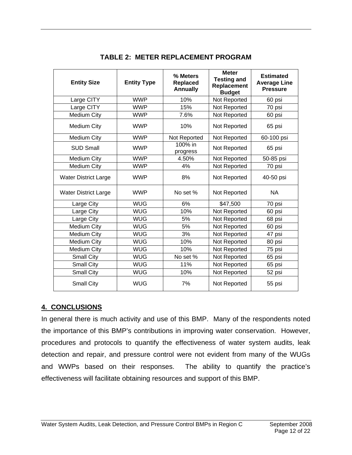| <b>Entity Size</b>          | <b>Entity Type</b> | % Meters<br><b>Replaced</b><br><b>Annually</b> | <b>Meter</b><br><b>Testing and</b><br>Replacement<br><b>Budget</b> | <b>Estimated</b><br><b>Average Line</b><br><b>Pressure</b> |
|-----------------------------|--------------------|------------------------------------------------|--------------------------------------------------------------------|------------------------------------------------------------|
| Large CITY                  | <b>WWP</b>         | 10%                                            | Not Reported                                                       | 60 psi                                                     |
| Large CITY                  | <b>WWP</b>         | 15%                                            | Not Reported                                                       | 70 psi                                                     |
| <b>Medium City</b>          | <b>WWP</b>         | 7.6%                                           | Not Reported                                                       | 60 psi                                                     |
| <b>Medium City</b>          | <b>WWP</b>         | 10%                                            | Not Reported                                                       | 65 psi                                                     |
| <b>Medium City</b>          | <b>WWP</b>         | Not Reported                                   | Not Reported                                                       | 60-100 psi                                                 |
| <b>SUD Small</b>            | <b>WWP</b>         | 100% in<br>progress                            | Not Reported                                                       | 65 psi                                                     |
| <b>Medium City</b>          | <b>WWP</b>         | 4.50%                                          | Not Reported                                                       | 50-85 psi                                                  |
| <b>Medium City</b>          | <b>WWP</b>         | 4%                                             | Not Reported                                                       | 70 psi                                                     |
| <b>Water District Large</b> | <b>WWP</b>         | 8%                                             | Not Reported                                                       | 40-50 psi                                                  |
| <b>Water District Large</b> | <b>WWP</b>         | No set %                                       | Not Reported                                                       | NA.                                                        |
| Large City                  | <b>WUG</b>         | 6%                                             | \$47,500                                                           | 70 psi                                                     |
| Large City                  | <b>WUG</b>         | 10%                                            | Not Reported                                                       | 60 psi                                                     |
| Large City                  | <b>WUG</b>         | 5%                                             | Not Reported                                                       | 68 psi                                                     |
| <b>Medium City</b>          | <b>WUG</b>         | 5%                                             | Not Reported                                                       | 60 psi                                                     |
| <b>Medium City</b>          | <b>WUG</b>         | 3%                                             | Not Reported                                                       | 47 psi                                                     |
| <b>Medium City</b>          | <b>WUG</b>         | 10%                                            | Not Reported                                                       | 80 psi                                                     |
| <b>Medium City</b>          | <b>WUG</b>         | 10%                                            | Not Reported                                                       | 75 psi                                                     |
| <b>Small City</b>           | <b>WUG</b>         | No set %                                       | Not Reported                                                       | 65 psi                                                     |
| <b>Small City</b>           | <b>WUG</b>         | 11%                                            | Not Reported                                                       | 65 psi                                                     |
| <b>Small City</b>           | <b>WUG</b>         | 10%                                            | Not Reported                                                       | 52 psi                                                     |
| <b>Small City</b>           | <b>WUG</b>         | 7%                                             | Not Reported                                                       | 55 psi                                                     |

## **TABLE 2: METER REPLACEMENT PROGRAM**

#### **4. CONCLUSIONS**

In general there is much activity and use of this BMP. Many of the respondents noted the importance of this BMP's contributions in improving water conservation. However, procedures and protocols to quantify the effectiveness of water system audits, leak detection and repair, and pressure control were not evident from many of the WUGs and WWPs based on their responses. The ability to quantify the practice's effectiveness will facilitate obtaining resources and support of this BMP.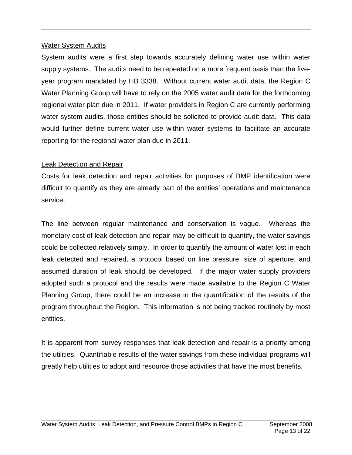#### Water System Audits

System audits were a first step towards accurately defining water use within water supply systems. The audits need to be repeated on a more frequent basis than the fiveyear program mandated by HB 3338. Without current water audit data, the Region C Water Planning Group will have to rely on the 2005 water audit data for the forthcoming regional water plan due in 2011. If water providers in Region C are currently performing water system audits, those entities should be solicited to provide audit data. This data would further define current water use within water systems to facilitate an accurate reporting for the regional water plan due in 2011.

#### Leak Detection and Repair

Costs for leak detection and repair activities for purposes of BMP identification were difficult to quantify as they are already part of the entities' operations and maintenance service.

The line between regular maintenance and conservation is vague. Whereas the monetary cost of leak detection and repair may be difficult to quantify, the water savings could be collected relatively simply. In order to quantify the amount of water lost in each leak detected and repaired, a protocol based on line pressure, size of aperture, and assumed duration of leak should be developed. If the major water supply providers adopted such a protocol and the results were made available to the Region C Water Planning Group, there could be an increase in the quantification of the results of the program throughout the Region. This information is not being tracked routinely by most entities.

It is apparent from survey responses that leak detection and repair is a priority among the utilities. Quantifiable results of the water savings from these individual programs will greatly help utilities to adopt and resource those activities that have the most benefits.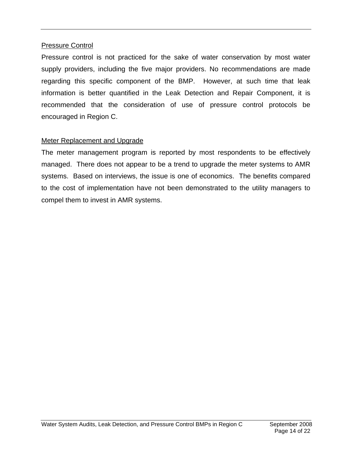#### Pressure Control

Pressure control is not practiced for the sake of water conservation by most water supply providers, including the five major providers. No recommendations are made regarding this specific component of the BMP. However, at such time that leak information is better quantified in the Leak Detection and Repair Component, it is recommended that the consideration of use of pressure control protocols be encouraged in Region C.

### Meter Replacement and Upgrade

The meter management program is reported by most respondents to be effectively managed. There does not appear to be a trend to upgrade the meter systems to AMR systems. Based on interviews, the issue is one of economics. The benefits compared to the cost of implementation have not been demonstrated to the utility managers to compel them to invest in AMR systems.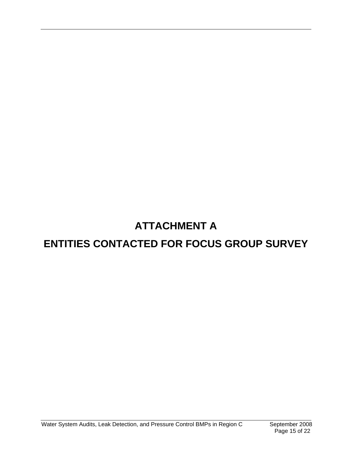# **ATTACHMENT A**

# **ENTITIES CONTACTED FOR FOCUS GROUP SURVEY**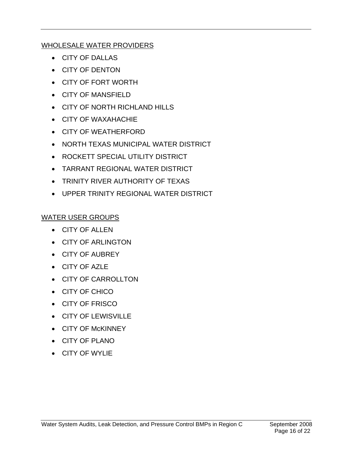## WHOLESALE WATER PROVIDERS

- CITY OF DALLAS
- CITY OF DENTON
- CITY OF FORT WORTH
- CITY OF MANSFIELD
- CITY OF NORTH RICHLAND HILLS
- CITY OF WAXAHACHIE
- CITY OF WEATHERFORD
- NORTH TEXAS MUNICIPAL WATER DISTRICT
- ROCKETT SPECIAL UTILITY DISTRICT
- TARRANT REGIONAL WATER DISTRICT
- TRINITY RIVER AUTHORITY OF TEXAS
- UPPER TRINITY REGIONAL WATER DISTRICT

# WATER USER GROUPS

- CITY OF ALLEN
- CITY OF ARLINGTON
- CITY OF AUBREY
- CITY OF AZLE
- CITY OF CARROLLTON
- CITY OF CHICO
- CITY OF FRISCO
- CITY OF LEWISVILLE
- CITY OF McKINNEY
- CITY OF PLANO
- CITY OF WYLIE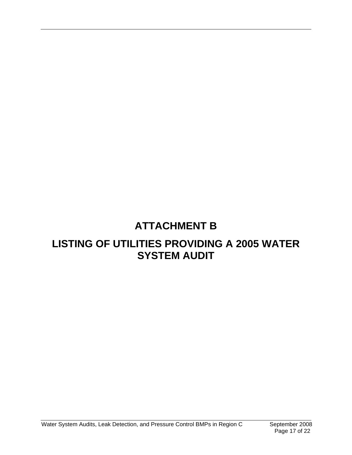# **ATTACHMENT B**

# **LISTING OF UTILITIES PROVIDING A 2005 WATER SYSTEM AUDIT**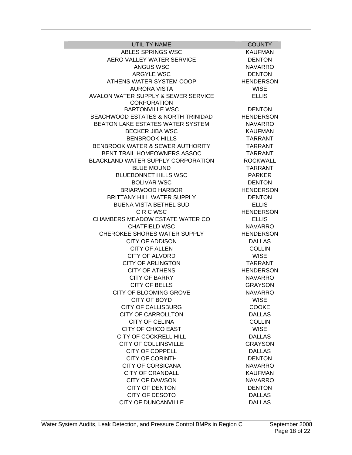| <b>UTILITY NAME</b>                 | <b>COUNTY</b>    |
|-------------------------------------|------------------|
| ABLES SPRINGS WSC                   | <b>KAUFMAN</b>   |
| AERO VALLEY WATER SERVICE           | <b>DENTON</b>    |
| <b>ANGUS WSC</b>                    | <b>NAVARRO</b>   |
| <b>ARGYLE WSC</b>                   | <b>DENTON</b>    |
| ATHENS WATER SYSTEM COOP            | <b>HENDERSON</b> |
| <b>AURORA VISTA</b>                 | <b>WISE</b>      |
| AVALON WATER SUPPLY & SEWER SERVICE | <b>ELLIS</b>     |
| <b>CORPORATION</b>                  |                  |
| <b>BARTONVILLE WSC</b>              | <b>DENTON</b>    |
| BEACHWOOD ESTATES & NORTH TRINIDAD  | <b>HENDERSON</b> |
| BEATON LAKE ESTATES WATER SYSTEM    | <b>NAVARRO</b>   |
| <b>BECKER JIBA WSC</b>              | <b>KAUFMAN</b>   |
| <b>BENBROOK HILLS</b>               | <b>TARRANT</b>   |
| BENBROOK WATER & SEWER AUTHORITY    | <b>TARRANT</b>   |
| BENT TRAIL HOMEOWNERS ASSOC         | <b>TARRANT</b>   |
| BLACKLAND WATER SUPPLY CORPORATION  | <b>ROCKWALL</b>  |
| <b>BLUE MOUND</b>                   | <b>TARRANT</b>   |
| <b>BLUEBONNET HILLS WSC</b>         | <b>PARKER</b>    |
| <b>BOLIVAR WSC</b>                  | <b>DENTON</b>    |
| <b>BRIARWOOD HARBOR</b>             | <b>HENDERSON</b> |
| BRITTANY HILL WATER SUPPLY          | <b>DENTON</b>    |
| <b>BUENA VISTA BETHEL SUD</b>       | <b>ELLIS</b>     |
| <b>CRCWSC</b>                       | <b>HENDERSON</b> |
| CHAMBERS MEADOW ESTATE WATER CO     | <b>ELLIS</b>     |
| <b>CHATFIELD WSC</b>                | <b>NAVARRO</b>   |
| <b>CHEROKEE SHORES WATER SUPPLY</b> | <b>HENDERSON</b> |
| <b>CITY OF ADDISON</b>              | <b>DALLAS</b>    |
| <b>CITY OF ALLEN</b>                | <b>COLLIN</b>    |
|                                     |                  |
| <b>CITY OF ALVORD</b>               | <b>WISE</b>      |
| <b>CITY OF ARLINGTON</b>            | <b>TARRANT</b>   |
| <b>CITY OF ATHENS</b>               | <b>HENDERSON</b> |
| <b>CITY OF BARRY</b>                | <b>NAVARRO</b>   |
| <b>CITY OF BELLS</b>                | <b>GRAYSON</b>   |
| CITY OF BLOOMING GROVE              | <b>NAVARRO</b>   |
| <b>CITY OF BOYD</b>                 | <b>WISE</b>      |
| <b>CITY OF CALLISBURG</b>           | <b>COOKE</b>     |
| <b>CITY OF CARROLLTON</b>           | <b>DALLAS</b>    |
| <b>CITY OF CELINA</b>               | <b>COLLIN</b>    |
| <b>CITY OF CHICO EAST</b>           | <b>WISE</b>      |
| <b>CITY OF COCKRELL HILL</b>        | <b>DALLAS</b>    |
| <b>CITY OF COLLINSVILLE</b>         | <b>GRAYSON</b>   |
| <b>CITY OF COPPELL</b>              | <b>DALLAS</b>    |
| <b>CITY OF CORINTH</b>              | <b>DENTON</b>    |
| <b>CITY OF CORSICANA</b>            | <b>NAVARRO</b>   |
| <b>CITY OF CRANDALL</b>             | <b>KAUFMAN</b>   |
| <b>CITY OF DAWSON</b>               | <b>NAVARRO</b>   |
| <b>CITY OF DENTON</b>               | <b>DENTON</b>    |
| <b>CITY OF DESOTO</b>               | <b>DALLAS</b>    |
| <b>CITY OF DUNCANVILLE</b>          | <b>DALLAS</b>    |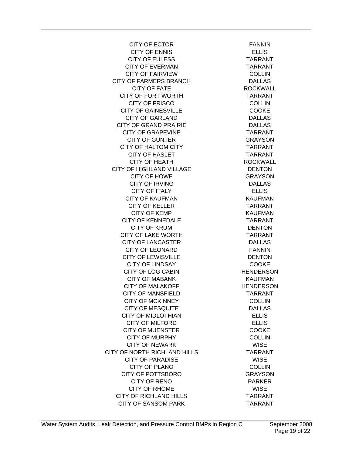CITY OF ECTOR FANNIN CITY OF ENNIS ELLIS CITY OF EULESS TARRANT CITY OF EVERMAN TARRANT CITY OF FAIRVIEW COLLIN CITY OF FARMERS BRANCH DALLAS CITY OF FATE ROCKWALL CITY OF FORT WORTH TARRANT CITY OF FRISCO COLLIN CITY OF GAINESVILLE COOKE CITY OF GARLAND DALLAS CITY OF GRAND PRAIRIE DALLAS CITY OF GRAPEVINE TARRANT CITY OF GUNTER GRAYSON CITY OF HALTOM CITY **TARRANT** CITY OF HASLET TARRANT CITY OF HEATH ROCKWALL CITY OF HIGHLAND VILLAGE DENTON CITY OF HOWE GRAYSON CITY OF IRVING DALLAS CITY OF ITALY ELLIS CITY OF KAUFMAN KAUFMAN CITY OF KELLER TARRANT CITY OF KEMP **KAUFMAN** CITY OF KENNEDALE TARRANT CITY OF KRUM DENTON CITY OF LAKE WORTH TARRANT CITY OF LANCASTER DALLAS CITY OF LEONARD FANNIN CITY OF LEWISVILLE DENTON CITY OF LINDSAY COOKE CITY OF LOG CABIN HENDERSON CITY OF MABANK KAUFMAN CITY OF MALAKOFF HENDERSON CITY OF MANSFIELD TARRANT CITY OF MCKINNEY COLLIN CITY OF MESQUITE DALLAS CITY OF MIDLOTHIAN ELLIS CITY OF MILFORD ELLIS CITY OF MUENSTER COOKE CITY OF MURPHY COLLIN CITY OF NEWARK WISE CITY OF NORTH RICHLAND HILLS TARRANT CITY OF PARADISE WISE CITY OF PLANO COLLIN CITY OF POTTSBORO GRAYSON CITY OF RENO PARKER CITY OF RHOME WISE CITY OF RICHLAND HILLS TARRANT CITY OF SANSOM PARK TARRANT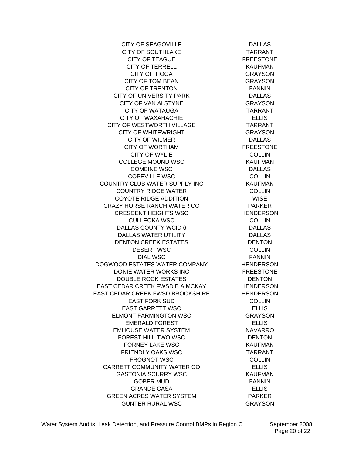CITY OF SEAGOVILLE DALLAS CITY OF SOUTHLAKE TARRANT CITY OF TEAGUE FREESTONE CITY OF TERRELL KAUFMAN CITY OF TIOGA GRAYSON CITY OF TOM BEAN GRAYSON CITY OF TRENTON FANNIN CITY OF UNIVERSITY PARK DALLAS CITY OF VAN ALSTYNE GRAYSON CITY OF WATAUGA TARRANT CITY OF WAXAHACHIE ELLIS CITY OF WESTWORTH VILLAGE TARRANT CITY OF WHITEWRIGHT **GRAYSON** CITY OF WILMER DALLAS CITY OF WORTHAM FREESTONE CITY OF WYLIE COLLIN COLLEGE MOUND WSC KAUFMAN COMBINE WSC DALLAS COPEVILLE WSC COLLIN COUNTRY CLUB WATER SUPPLY INC KAUFMAN COUNTRY RIDGE WATER COLLIN COYOTE RIDGE ADDITION WISE CRAZY HORSE RANCH WATER CO PARKER CRESCENT HEIGHTS WSC HENDERSON CULLEOKA WSC COLLIN DALLAS COUNTY WCID 6 DALLAS DALLAS WATER UTILITY DALLAS DENTON CREEK ESTATES DENTON DESERT WSC COLLIN DIAL WSC FANNIN DOGWOOD ESTATES WATER COMPANY HENDERSON DONIE WATER WORKS INC FREESTONE DOUBLE ROCK ESTATES DENTON EAST CEDAR CREEK FWSD B A MCKAY HENDERSON EAST CEDAR CREEK FWSD BROOKSHIRE HENDERSON EAST FORK SUD COLLIN EAST GARRETT WSC ELLIS ELMONT FARMINGTON WSC GRAYSON EMERALD FOREST ELLIS EMHOUSE WATER SYSTEM NAVARRO FOREST HILL TWO WSC DENTON FORNEY LAKE WSC KAUFMAN FRIENDLY OAKS WSC TARRANT FROGNOT WSC COLLIN GARRETT COMMUNITY WATER CO **ELLIS** GASTONIA SCURRY WSC KAUFMAN GOBER MUD **EXAMPLE 1999** FANNIN GRANDE CASA ELLIS GREEN ACRES WATER SYSTEM PARKER GUNTER RURAL WSC GRAYSON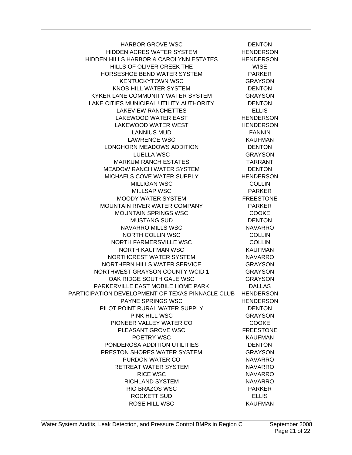HARBOR GROVE WSC DENTON HIDDEN ACRES WATER SYSTEM HENDERSON HIDDEN HILLS HARBOR & CAROLYNN ESTATES HENDERSON HILLS OF OLIVER CREEK THE WISE HORSESHOE BEND WATER SYSTEM PARKER KENTUCKYTOWN WSC GRAYSON KNOB HILL WATER SYSTEM **EXAMPLE SYSTEM** DENTON KYKER LANE COMMUNITY WATER SYSTEM GRAYSON LAKE CITIES MUNICIPAL UTILITY AUTHORITY DENTON LAKEVIEW RANCHETTES ELLIS LAKEWOOD WATER EAST HENDERSON LAKEWOOD WATER WEST HENDERSON LANNIUS MUD **EXAMPLE 1999** LAWRENCE WSC **KAUFMAN** LONGHORN MEADOWS ADDITION DENTON LUELLA WSC GRAYSON MARKUM RANCH ESTATES TARRANT MEADOW RANCH WATER SYSTEM DENTON MICHAELS COVE WATER SUPPLY HENDERSON MILLIGAN WSC COLLIN MILLSAP WSC **PARKER** MOODY WATER SYSTEM FREESTONE MOUNTAIN RIVER WATER COMPANY PARKER MOUNTAIN SPRINGS WSC COOKE MUSTANG SUD DENTON NAVARRO MILLS WSC NAVARRO NORTH COLLIN WSC COLLIN NORTH FARMERSVILLE WSC COLLIN NORTH KAUFMAN WSC KAUFMAN NORTHCREST WATER SYSTEM NAVARRO NORTHERN HILLS WATER SERVICE GRAYSON NORTHWEST GRAYSON COUNTY WCID 1 GRAYSON OAK RIDGE SOUTH GALE WSC GRAYSON PARKERVILLE EAST MOBILE HOME PARK DALLAS PARTICIPATION DEVELOPMENT OF TEXAS PINNACLE CLUB HENDERSON PAYNE SPRINGS WSC HENDERSON PILOT POINT RURAL WATER SUPPLY DENTON PINK HILL WSC GRAYSON PIONEER VALLEY WATER CO COOKE PLEASANT GROVE WSC FREESTONE POETRY WSC KAUFMAN PONDEROSA ADDITION UTILITIES DENTON PRESTON SHORES WATER SYSTEM GRAYSON PURDON WATER CO NAVARRO RETREAT WATER SYSTEM NAVARRO RICE WSC NAVARRO RICHLAND SYSTEM NAVARRO RIO BRAZOS WSC PARKER ROCKETT SUD
BOOKETT SUD
SELLIS ROSE HILL WSC KAUFMAN